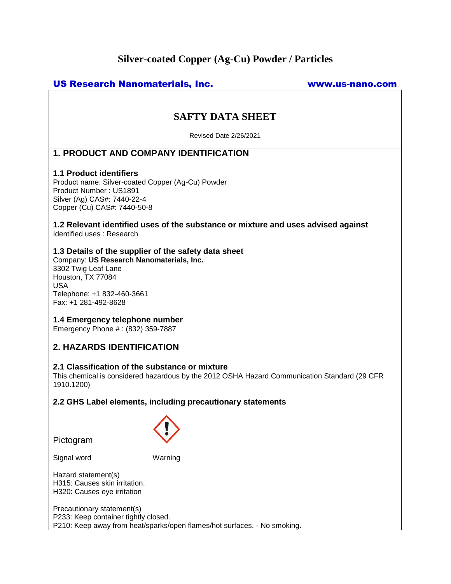# **Silver-coated Copper (Ag-Cu) Powder / Particles**

# US Research Nanomaterials, Inc. www.us-nano.com

# **SAFTY DATA SHEET**

Revised Date 2/26/2021

# **1. PRODUCT AND COMPANY IDENTIFICATION**

# **1.1 Product identifiers**

Product name: Silver-coated Copper (Ag-Cu) Powder Product Number : US1891 Silver (Ag) CAS#: 7440-22-4 Copper (Cu) CAS#: 7440-50-8

## **1.2 Relevant identified uses of the substance or mixture and uses advised against** Identified uses : Research

# **1.3 Details of the supplier of the safety data sheet**

Company: **US Research Nanomaterials, Inc.** 3302 Twig Leaf Lane Houston, TX 77084 USA Telephone: +1 832-460-3661 Fax: +1 281-492-8628

## **1.4 Emergency telephone number**

Emergency Phone # : (832) 359-7887

# **2. HAZARDS IDENTIFICATION**

## **2.1 Classification of the substance or mixture**

This chemical is considered hazardous by the 2012 OSHA Hazard Communication Standard (29 CFR 1910.1200)

## **2.2 GHS Label elements, including precautionary statements**

Pictogram



Signal word Warning

Hazard statement(s) H315: Causes skin irritation. H320: Causes eye irritation

Precautionary statement(s) P233: Keep container tightly closed. P210: Keep away from heat/sparks/open flames/hot surfaces. - No smoking.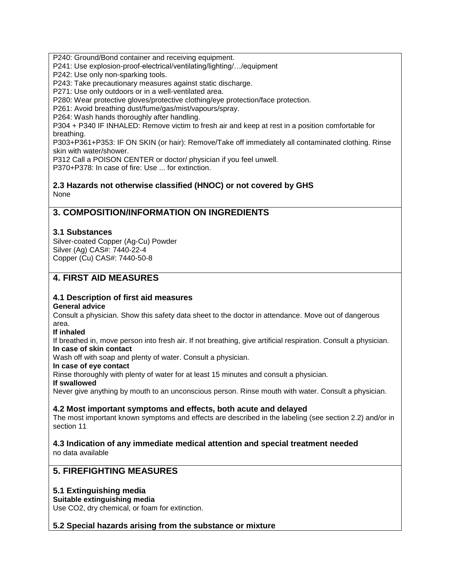P240: Ground/Bond container and receiving equipment.

P241: Use explosion-proof-electrical/ventilating/lighting/…/equipment

P242: Use only non-sparking tools.

P243: Take precautionary measures against static discharge.

P271: Use only outdoors or in a well-ventilated area.

P280: Wear protective gloves/protective clothing/eye protection/face protection.

P261: Avoid breathing dust/fume/gas/mist/vapours/spray.

P264: Wash hands thoroughly after handling.

P304 + P340 IF INHALED: Remove victim to fresh air and keep at rest in a position comfortable for breathing.

P303+P361+P353: IF ON SKIN (or hair): Remove/Take off immediately all contaminated clothing. Rinse skin with water/shower.

P312 Call a POISON CENTER or doctor/ physician if you feel unwell.

P370+P378: In case of fire: Use ... for extinction.

# **2.3 Hazards not otherwise classified (HNOC) or not covered by GHS** None

# **3. COMPOSITION/INFORMATION ON INGREDIENTS**

# **3.1 Substances**

Silver-coated Copper (Ag-Cu) Powder Silver (Ag) CAS#: 7440-22-4 Copper (Cu) CAS#: 7440-50-8

# **4. FIRST AID MEASURES**

# **4.1 Description of first aid measures**

## **General advice**

Consult a physician. Show this safety data sheet to the doctor in attendance. Move out of dangerous area.

## **If inhaled**

If breathed in, move person into fresh air. If not breathing, give artificial respiration. Consult a physician. **In case of skin contact**

Wash off with soap and plenty of water. Consult a physician.

## **In case of eye contact**

Rinse thoroughly with plenty of water for at least 15 minutes and consult a physician.

## **If swallowed**

Never give anything by mouth to an unconscious person. Rinse mouth with water. Consult a physician.

# **4.2 Most important symptoms and effects, both acute and delayed**

The most important known symptoms and effects are described in the labeling (see section 2.2) and/or in section 11

# **4.3 Indication of any immediate medical attention and special treatment needed**

no data available

# **5. FIREFIGHTING MEASURES**

# **5.1 Extinguishing media**

**Suitable extinguishing media**

Use CO2, dry chemical, or foam for extinction.

# **5.2 Special hazards arising from the substance or mixture**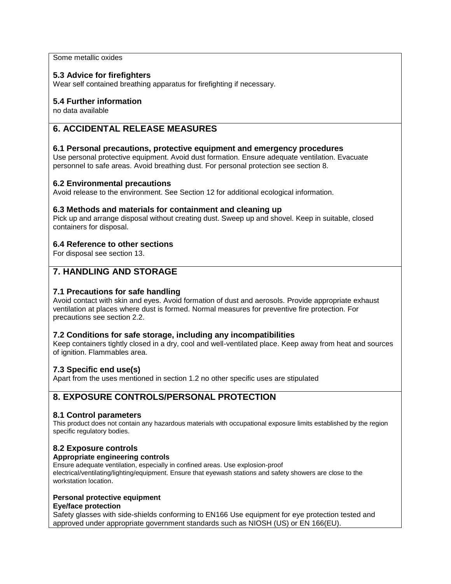Some metallic oxides

# **5.3 Advice for firefighters**

Wear self contained breathing apparatus for firefighting if necessary.

# **5.4 Further information**

no data available

# **6. ACCIDENTAL RELEASE MEASURES**

# **6.1 Personal precautions, protective equipment and emergency procedures**

Use personal protective equipment. Avoid dust formation. Ensure adequate ventilation. Evacuate personnel to safe areas. Avoid breathing dust. For personal protection see section 8.

## **6.2 Environmental precautions**

Avoid release to the environment. See Section 12 for additional ecological information.

## **6.3 Methods and materials for containment and cleaning up**

Pick up and arrange disposal without creating dust. Sweep up and shovel. Keep in suitable, closed containers for disposal.

# **6.4 Reference to other sections**

For disposal see section 13.

# **7. HANDLING AND STORAGE**

# **7.1 Precautions for safe handling**

Avoid contact with skin and eyes. Avoid formation of dust and aerosols. Provide appropriate exhaust ventilation at places where dust is formed. Normal measures for preventive fire protection. For precautions see section 2.2.

## **7.2 Conditions for safe storage, including any incompatibilities**

Keep containers tightly closed in a dry, cool and well-ventilated place. Keep away from heat and sources of ignition. Flammables area.

# **7.3 Specific end use(s)**

Apart from the uses mentioned in section 1.2 no other specific uses are stipulated

# **8. EXPOSURE CONTROLS/PERSONAL PROTECTION**

## **8.1 Control parameters**

This product does not contain any hazardous materials with occupational exposure limits established by the region specific regulatory bodies.

## **8.2 Exposure controls**

## **Appropriate engineering controls**

Ensure adequate ventilation, especially in confined areas. Use explosion-proof electrical/ventilating/lighting/equipment. Ensure that eyewash stations and safety showers are close to the workstation location.

## **Personal protective equipment**

#### **Eye/face protection**

Safety glasses with side-shields conforming to EN166 Use equipment for eye protection tested and approved under appropriate government standards such as NIOSH (US) or EN 166(EU).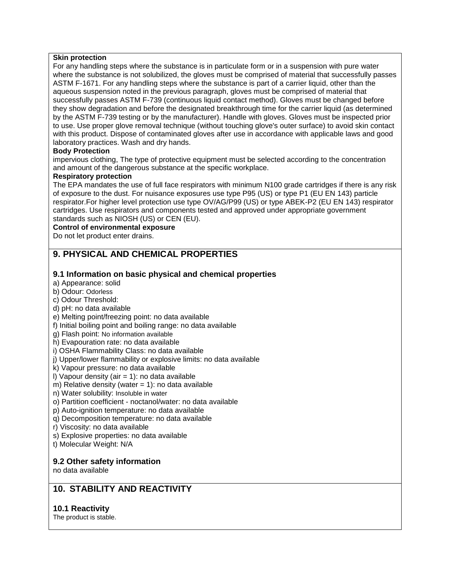#### **Skin protection**

For any handling steps where the substance is in particulate form or in a suspension with pure water where the substance is not solubilized, the gloves must be comprised of material that successfully passes ASTM F-1671. For any handling steps where the substance is part of a carrier liquid, other than the aqueous suspension noted in the previous paragraph, gloves must be comprised of material that successfully passes ASTM F-739 (continuous liquid contact method). Gloves must be changed before they show degradation and before the designated breakthrough time for the carrier liquid (as determined by the ASTM F-739 testing or by the manufacturer). Handle with gloves. Gloves must be inspected prior to use. Use proper glove removal technique (without touching glove's outer surface) to avoid skin contact with this product. Dispose of contaminated gloves after use in accordance with applicable laws and good laboratory practices. Wash and dry hands.

## **Body Protection**

impervious clothing, The type of protective equipment must be selected according to the concentration and amount of the dangerous substance at the specific workplace.

### **Respiratory protection**

The EPA mandates the use of full face respirators with minimum N100 grade cartridges if there is any risk of exposure to the dust. For nuisance exposures use type P95 (US) or type P1 (EU EN 143) particle respirator.For higher level protection use type OV/AG/P99 (US) or type ABEK-P2 (EU EN 143) respirator cartridges. Use respirators and components tested and approved under appropriate government standards such as NIOSH (US) or CEN (EU).

## **Control of environmental exposure**

Do not let product enter drains.

# **9. PHYSICAL AND CHEMICAL PROPERTIES**

# **9.1 Information on basic physical and chemical properties**

- a) Appearance: solid
- b) Odour: Odorless
- c) Odour Threshold:
- d) pH: no data available
- e) Melting point/freezing point: no data available
- f) Initial boiling point and boiling range: no data available
- g) Flash point: No information available
- h) Evapouration rate: no data available
- i) OSHA Flammability Class: no data available
- j) Upper/lower flammability or explosive limits: no data available
- k) Vapour pressure: no data available
- I) Vapour density (air  $= 1$ ): no data available
- m) Relative density (water  $= 1$ ): no data available
- n) Water solubility: Insoluble in water
- o) Partition coefficient noctanol/water: no data available
- p) Auto-ignition temperature: no data available
- q) Decomposition temperature: no data available
- r) Viscosity: no data available
- s) Explosive properties: no data available
- t) Molecular Weight: N/A

## **9.2 Other safety information**

no data available

# **10. STABILITY AND REACTIVITY**

# **10.1 Reactivity**

The product is stable.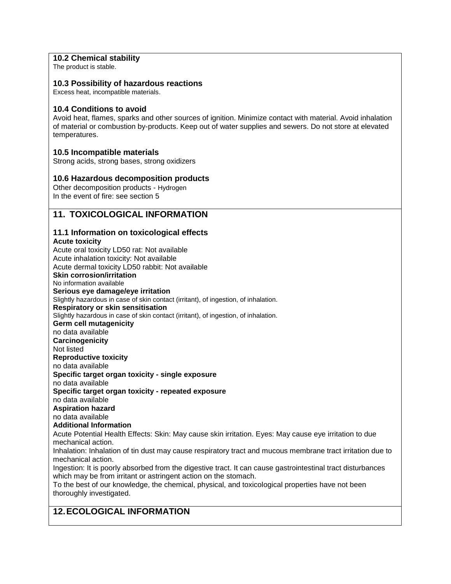# **10.2 Chemical stability**

The product is stable.

# **10.3 Possibility of hazardous reactions**

Excess heat, incompatible materials.

# **10.4 Conditions to avoid**

Avoid heat, flames, sparks and other sources of ignition. Minimize contact with material. Avoid inhalation of material or combustion by-products. Keep out of water supplies and sewers. Do not store at elevated temperatures.

# **10.5 Incompatible materials**

Strong acids, strong bases, strong oxidizers

# **10.6 Hazardous decomposition products**

Other decomposition products - Hydrogen In the event of fire: see section 5

# **11. TOXICOLOGICAL INFORMATION**

#### **11.1 Information on toxicological effects Acute toxicity**

Acute oral toxicity LD50 rat: Not available Acute inhalation toxicity: Not available Acute dermal toxicity LD50 rabbit: Not available **Skin corrosion/irritation** No information available **Serious eye damage/eye irritation** Slightly hazardous in case of skin contact (irritant), of ingestion, of inhalation. **Respiratory or skin sensitisation** Slightly hazardous in case of skin contact (irritant), of ingestion, of inhalation. **Germ cell mutagenicity** no data available **Carcinogenicity** Not listed **Reproductive toxicity** no data available **Specific target organ toxicity - single exposure** no data available **Specific target organ toxicity - repeated exposure** no data available **Aspiration hazard** no data available **Additional Information** Acute Potential Health Effects: Skin: May cause skin irritation. Eyes: May cause eye irritation to due mechanical action. Inhalation: Inhalation of tin dust may cause respiratory tract and mucous membrane tract irritation due to mechanical action. Ingestion: It is poorly absorbed from the digestive tract. It can cause gastrointestinal tract disturbances which may be from irritant or astringent action on the stomach. To the best of our knowledge, the chemical, physical, and toxicological properties have not been thoroughly investigated.

# **12.ECOLOGICAL INFORMATION**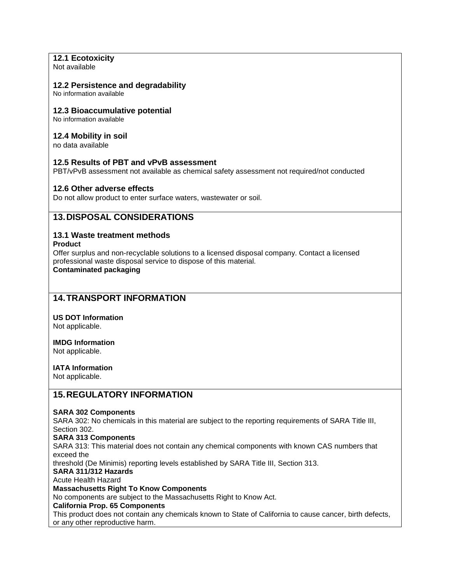# **12.1 Ecotoxicity**

Not available

## **12.2 Persistence and degradability**

No information available

# **12.3 Bioaccumulative potential**

No information available

# **12.4 Mobility in soil**

no data available

# **12.5 Results of PBT and vPvB assessment**

PBT/vPvB assessment not available as chemical safety assessment not required/not conducted

# **12.6 Other adverse effects**

Do not allow product to enter surface waters, wastewater or soil.

# **13.DISPOSAL CONSIDERATIONS**

# **13.1 Waste treatment methods**

#### **Product**

Offer surplus and non-recyclable solutions to a licensed disposal company. Contact a licensed professional waste disposal service to dispose of this material. **Contaminated packaging**

# **14.TRANSPORT INFORMATION**

**US DOT Information**  Not applicable.

**IMDG Information**  Not applicable.

# **IATA Information**

Not applicable.

# **15.REGULATORY INFORMATION**

## **SARA 302 Components**

SARA 302: No chemicals in this material are subject to the reporting requirements of SARA Title III, Section 302.

**SARA 313 Components**

SARA 313: This material does not contain any chemical components with known CAS numbers that exceed the

threshold (De Minimis) reporting levels established by SARA Title III, Section 313.

**SARA 311/312 Hazards**

#### Acute Health Hazard

**Massachusetts Right To Know Components**

No components are subject to the Massachusetts Right to Know Act.

# **California Prop. 65 Components**

This product does not contain any chemicals known to State of California to cause cancer, birth defects, or any other reproductive harm.